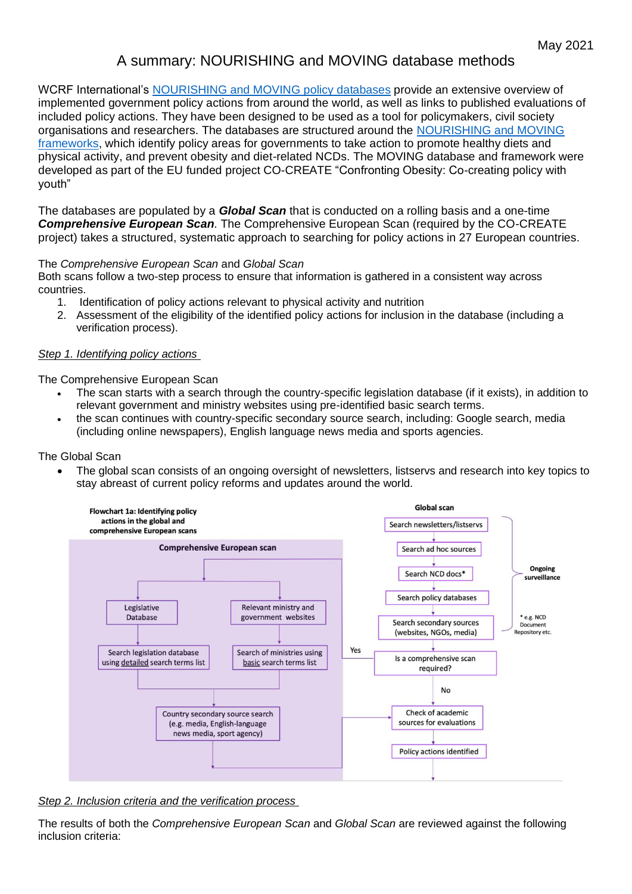# A summary: NOURISHING and MOVING database methods

WCRF International's [NOURISHING and MOVING](https://wcrf.sharepoint.com/:w:/s/PPAteam/EbUfMKQuDrJEo4B4pBE3-LABjzWMp8ttRRRZIk3O41I_rg?e=Cj10i6) policy databases provide an extensive overview of implemented government policy actions from around the world, as well as links to published evaluations of included policy actions. They have been designed to be used as a tool for policymakers, civil society organisations and researchers. The databases are structured around the [NOURISHING and MOVING](https://www.wcrf.org/policy/policy-databases/nourishing-framework/)  [frameworks,](https://www.wcrf.org/policy/policy-databases/nourishing-framework/) which identify policy areas for governments to take action to promote healthy diets and physical activity, and prevent obesity and diet-related NCDs. The MOVING database and framework were developed as part of the EU funded project CO-CREATE "Confronting Obesity: Co-creating policy with youth"

The databases are populated by a *Global Scan* that is conducted on a rolling basis and a one-time *Comprehensive European Scan.* The Comprehensive European Scan (required by the CO-CREATE project) takes a structured, systematic approach to searching for policy actions in 27 European countries.

The *Comprehensive European Scan* and *Global Scan*

Both scans follow a two-step process to ensure that information is gathered in a consistent way across countries.

- 1. Identification of policy actions relevant to physical activity and nutrition
- 2. Assessment of the eligibility of the identified policy actions for inclusion in the database (including a verification process).

## *Step 1. Identifying policy actions*

The Comprehensive European Scan

- The scan starts with a search through the country-specific legislation database (if it exists), in addition to relevant government and ministry websites using pre-identified basic search terms.
- the scan continues with country-specific secondary source search, including: Google search, media (including online newspapers), English language news media and sports agencies.

### The Global Scan

• The global scan consists of an ongoing oversight of newsletters, listservs and research into key topics to stay abreast of current policy reforms and updates around the world.



*Step 2. Inclusion criteria and the verification process*

The results of both the *Comprehensive European Scan* and *Global Scan* are reviewed against the following inclusion criteria: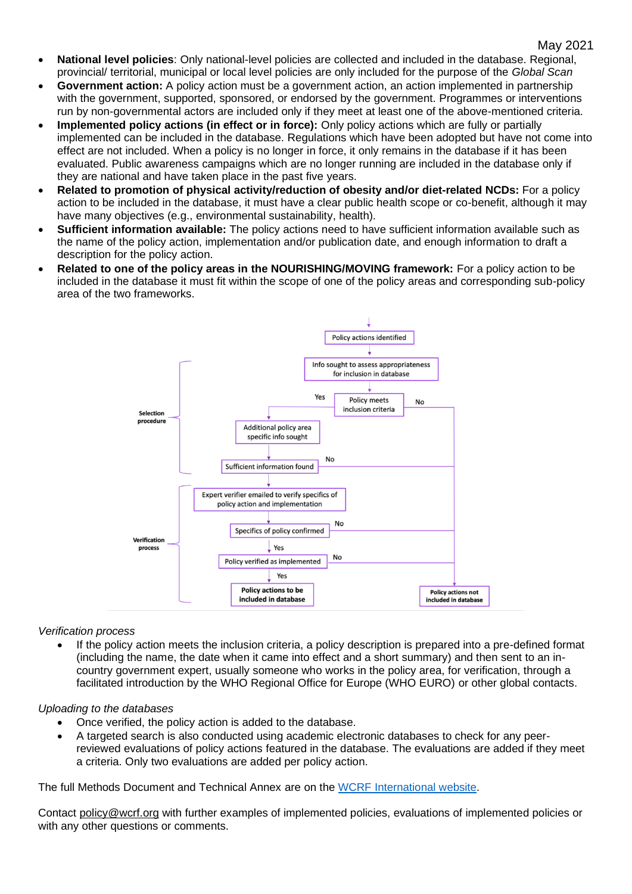- **National level policies**: Only national-level policies are collected and included in the database. Regional, provincial/ territorial, municipal or local level policies are only included for the purpose of the *Global Scan*
- **Government action:** A policy action must be a government action, an action implemented in partnership with the government, supported, sponsored, or endorsed by the government. Programmes or interventions run by non-governmental actors are included only if they meet at least one of the above-mentioned criteria.
- **Implemented policy actions (in effect or in force):** Only policy actions which are fully or partially implemented can be included in the database. Regulations which have been adopted but have not come into effect are not included. When a policy is no longer in force, it only remains in the database if it has been evaluated. Public awareness campaigns which are no longer running are included in the database only if they are national and have taken place in the past five years.
- **Related to promotion of physical activity/reduction of obesity and/or diet-related NCDs:** For a policy action to be included in the database, it must have a clear public health scope or co-benefit, although it may have many objectives (e.g., environmental sustainability, health).
- **Sufficient information available:** The policy actions need to have sufficient information available such as the name of the policy action, implementation and/or publication date, and enough information to draft a description for the policy action.
- **Related to one of the policy areas in the NOURISHING/MOVING framework:** For a policy action to be included in the database it must fit within the scope of one of the policy areas and corresponding sub-policy area of the two frameworks.



### *Verification process*

• If the policy action meets the inclusion criteria, a policy description is prepared into a pre-defined format (including the name, the date when it came into effect and a short summary) and then sent to an incountry government expert, usually someone who works in the policy area, for verification, through a facilitated introduction by the WHO Regional Office for Europe (WHO EURO) or other global contacts.

### *Uploading to the databases*

- Once verified, the policy action is added to the database.
- A targeted search is also conducted using academic electronic databases to check for any peerreviewed evaluations of policy actions featured in the database. The evaluations are added if they meet a criteria. Only two evaluations are added per policy action.

The full Methods Document and Technical Annex are on the [WCRF International website.](https://www.wcrf.org/policy/policy-databases/methodology/)

Contact [policy@wcrf.org](mailto:policy@wcrf.org) with further examples of implemented policies, evaluations of implemented policies or with any other questions or comments.